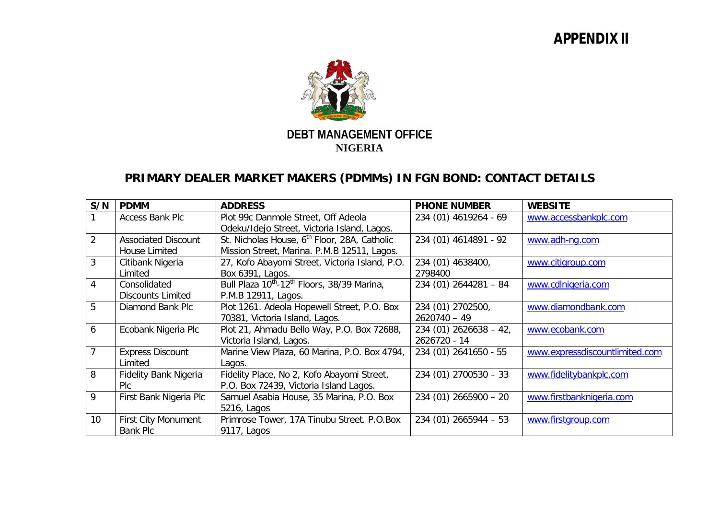## **APPENDIX II**



## **PRIMARY DEALER MARKET MAKERS (PDMMs) IN FGN BOND: CONTACT DETAILS**

| S/N             | <b>PDMM</b>                | <b>ADDRESS</b>                                                      | <b>PHONE NUMBER</b>      | <b>WEBSITE</b>                 |
|-----------------|----------------------------|---------------------------------------------------------------------|--------------------------|--------------------------------|
|                 | <b>Access Bank Plc</b>     | Plot 99c Danmole Street, Off Adeola                                 | 234 (01) 4619264 - 69    | www.accessbankplc.com          |
|                 |                            | Odeku/Idejo Street, Victoria Island, Lagos.                         |                          |                                |
| $\overline{2}$  | <b>Associated Discount</b> | St. Nicholas House, 6 <sup>th</sup> Floor, 28A, Catholic            | 234 (01) 4614891 - 92    | www.adh-ng.com                 |
|                 | House Limited              | Mission Street, Marina. P.M.B 12511, Lagos.                         |                          |                                |
| 3               | Citibank Nigeria           | 27, Kofo Abayomi Street, Victoria Island, P.O.                      | 234 (01) 4638400,        | www.citigroup.com              |
|                 | Limited                    | Box 6391, Lagos.                                                    | 2798400                  |                                |
| $\overline{4}$  | Consolidated               | Bull Plaza 10 <sup>th</sup> -12 <sup>th</sup> Floors, 38/39 Marina, | $234(01) 2644281 - 84$   | www.cdlnigeria.com             |
|                 | <b>Discounts Limited</b>   | P.M.B 12911, Lagos.                                                 |                          |                                |
| 5               | Diamond Bank Plc           | Plot 1261. Adeola Hopewell Street, P.O. Box                         | 234 (01) 2702500,        | www.diamondbank.com            |
|                 |                            | 70381, Victoria Island, Lagos.                                      | $2620740 - 49$           |                                |
| 6               | Ecobank Nigeria Plc        | Plot 21, Ahmadu Bello Way, P.O. Box 72688,                          | $234(01) 2626638 - 42,$  | www.ecobank.com                |
|                 |                            | Victoria Island, Lagos.                                             | 2626720 - 14             |                                |
| $\overline{7}$  | <b>Express Discount</b>    | Marine View Plaza, 60 Marina, P.O. Box 4794,                        | 234 (01) 2641650 - 55    | www.expressdiscountlimited.com |
|                 | Limited                    | Lagos.                                                              |                          |                                |
| 8               | Fidelity Bank Nigeria      | Fidelity Place, No 2, Kofo Abayomi Street,                          | $234(01) 2700530 - 33$   | www.fidelitybankplc.com        |
|                 | <b>PIC</b>                 | P.O. Box 72439, Victoria Island Lagos.                              |                          |                                |
| 9               | First Bank Nigeria Plc     | Samuel Asabia House, 35 Marina, P.O. Box                            | $234(01) 2665900 - 20$   | www.firstbanknigeria.com       |
|                 |                            | 5216, Lagos                                                         |                          |                                |
| 10 <sup>°</sup> | <b>First City Monument</b> | Primrose Tower, 17A Tinubu Street. P.O.Box                          | $234(01)$ $2665944 - 53$ | www.firstgroup.com             |
|                 | <b>Bank Plc</b>            | 9117, Lagos                                                         |                          |                                |